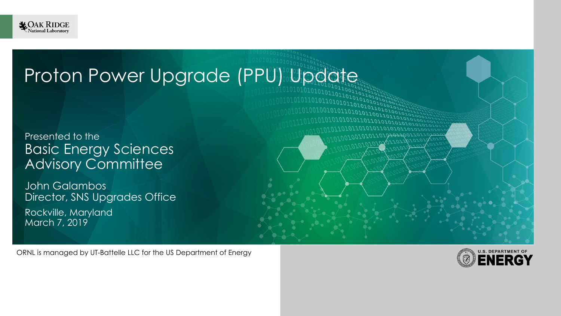

### Proton Power Upgrade (PPU) Update

Presented to the Basic Energy Sciences Advisory Committee

John Galambos Director, SNS Upgrades Office Rockville, Maryland March 7, 2019

ORNL is managed by UT-Battelle LLC for the US Department of Energy

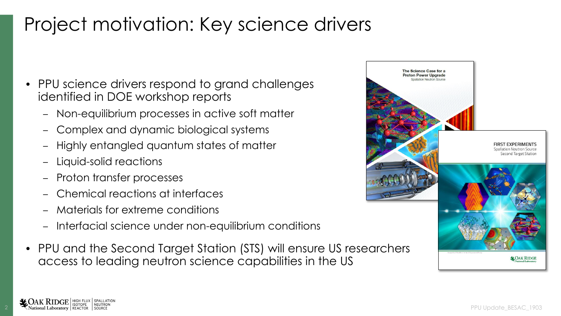# Project motivation: Key science drivers

- PPU science drivers respond to grand challenges identified in DOE workshop reports
	- Non-equilibrium processes in active soft matter
	- Complex and dynamic biological systems
	- Highly entangled quantum states of matter
	- Liquid-solid reactions
	- Proton transfer processes
	- Chemical reactions at interfaces
	- Materials for extreme conditions
	- Interfacial science under non-equilibrium conditions
- PPU and the Second Target Station (STS) will ensure US researchers access to leading neutron science capabilities in the US

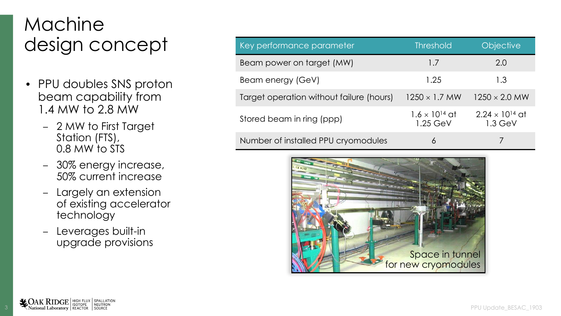## Machine design concept

- PPU doubles SNS proton beam capability from 1.4 MW to 2.8 MW
	- 2 MW to First Target Station (FTS), 0.8 MW to STS
	- 30% energy increase, 50% current increase
	- Largely an extension of existing accelerator technology
	- Leverages built-in upgrade provisions

| Key performance parameter                | <b>Threshold</b>                      | <b>Objective</b>                      |
|------------------------------------------|---------------------------------------|---------------------------------------|
| Beam power on target (MW)                | 1.7                                   | 2.0                                   |
| Beam energy (GeV)                        | 1.25                                  | 1.3                                   |
| Target operation without failure (hours) | $1250 \times 1.7$ MW                  | $1250 \times 2.0$ MW                  |
| Stored beam in ring (ppp)                | $1.6 \times 10^{14}$ at<br>$1.25$ GeV | $2.24 \times 10^{14}$ at<br>$1.3$ GeV |
| Number of installed PPU cryomodules      | 6                                     |                                       |

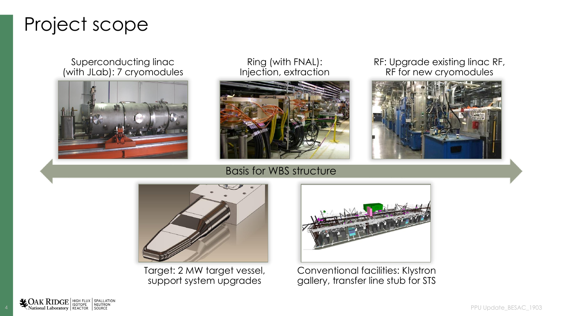### Project scope

#### Superconducting linac (with JLab): 7 cryomodules



Ring (with FNAL): Injection, extraction



RF: Upgrade existing linac RF, RF for new cryomodules



#### Basis for WBS structure



Target: 2 MW target vessel, support system upgrades



Conventional facilities: Klystron gallery, transfer line stub for STS

 $\sum_{\text{National Laboratory}}$  High Flux | Spallation<br>
National Laboratory | REACTOR | SOURCE | SOURCE | SOURCE | SOURCE | SOURCE | SOURCE | SOURCE | SOURCE | SOURC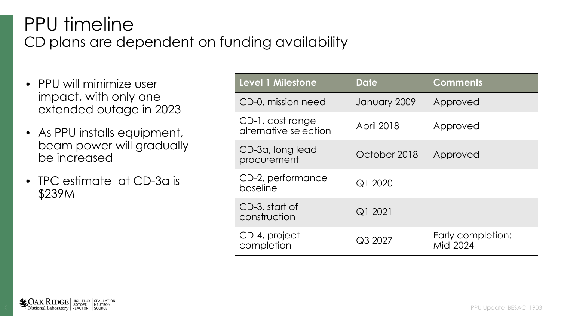#### PPU timeline CD plans are dependent on funding availability

- PPU will minimize user impact, with only one extended outage in 2023
- As PPU installs equipment, beam power will gradually be increased
- TPC estimate at CD-3a is \$239M

| <b>Level 1 Milestone</b>                  | <b>Date</b>       | <b>Comments</b>               |
|-------------------------------------------|-------------------|-------------------------------|
| CD-0, mission need                        | January 2009      | Approved                      |
| CD-1, cost range<br>alternative selection | <b>April 2018</b> | Approved                      |
| CD-3a, long lead<br>procurement           | October 2018      | Approved                      |
| CD-2, performance<br>baseline             | Q1 2020           |                               |
| CD-3, start of<br>construction            | Q1 2021           |                               |
| CD-4, project<br>completion               | Q3 2027           | Early completion:<br>Mid-2024 |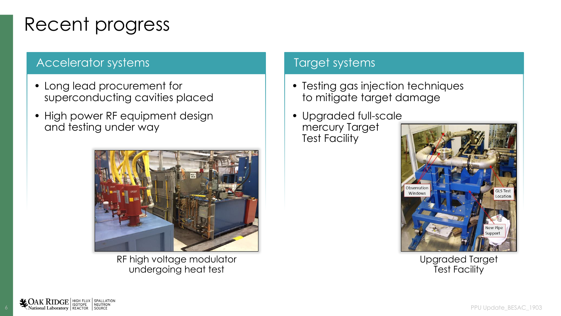## Recent progress

#### Accelerator systems

- Long lead procurement for superconducting cavities placed
- High power RF equipment design and testing under way



RF high voltage modulator undergoing heat test

#### Target systems

- Testing gas injection techniques to mitigate target damage
- Upgraded full-scale mercury Target Test Facility



Upgraded Target Test Facility

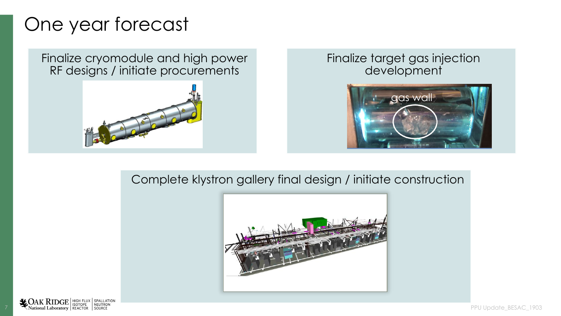### One year forecast

Finalize cryomodule and high power RF designs / initiate procurements



#### Finalize target gas injection development



#### Complete klystron gallery final design / initiate construction